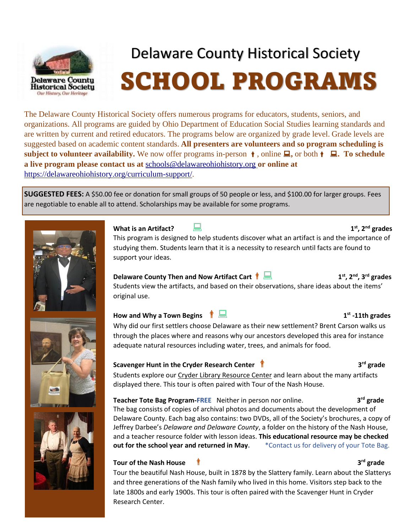

l

## Delaware County Historical Society SCHOOL PROGRAMS

The Delaware County Historical Society offers numerous programs for educators, students, seniors, and organizations. All programs are guided by Ohio Department of Education Social Studies learning standards and are written by current and retired educators. The programs below are organized by grade level. Grade levels are suggested based on academic content standards. **All presenters are volunteers and so program scheduling is subject to volunteer availability.** We now offer programs in-person  $\uparrow$ , online  $\Box$ , or both  $\uparrow$   $\Box$ . To schedule **a live program please contact us at** [schools@delawareohiohistory.org](mailto:programs@delawareohiohistory.org) **or online at** [https://delawareohiohistory.org/curriculum-support/.](https://delawareohiohistory.org/curriculum-support/)

**SUGGESTED FEES:** A \$50.00 fee or donation for small groups of 50 people or less, and \$100.00 for larger groups. Fees are negotiable to enable all to attend. Scholarships may be available for some programs.



**Delaware County Then and Now Artifact Cart<sup>1</sup> st, 2nd, 3rd grades** Students view the artifacts, and based on their observations, share ideas about the items' original use.

#### **How and Why a Town Begins <sup>1</sup>**

Why did our first settlers choose Delaware as their new settlement? Brent Carson walks us through the places where and reasons why our ancestors developed this area for instance adequate natural resources including water, trees, and animals for food.

#### **Scavenger Hunt in the Cryder Research Center <sup>3</sup>**

Students explore our Cryder Library [Resource](https://www.delawareohiohistory.org/?page_id=1559) Center and learn about the many artifacts displayed there. This tour is often paired with Tour of the Nash House.

**Teacher Tote Bag Program-FREE** Neither in person nor online. **3 rd grade**  The bag consists of copies of archival photos and documents about the development of Delaware County. Each bag also contains: two DVDs, all of the Society's brochures, a copy of Jeffrey Darbee's *Delaware and Delaware County*, a folder on the history of the Nash House, and a teacher resource folder with lesson ideas. **This educational resource may be checked out for the school year and returned in May.** \* Contact us for delivery of your Tote Bag.

#### **Tour of the Nash House**

1 late 1800s and early 1900s. This tour is often paired with the Scavenger Hunt in Cryder Tour the beautiful Nash House, built in 1878 by the Slattery family. Learn about the Slatterys and three generations of the Nash family who lived in this home. Visitors step back to the Research Center.



### **st -11th grades**

#### **rd grade**

**rd grade**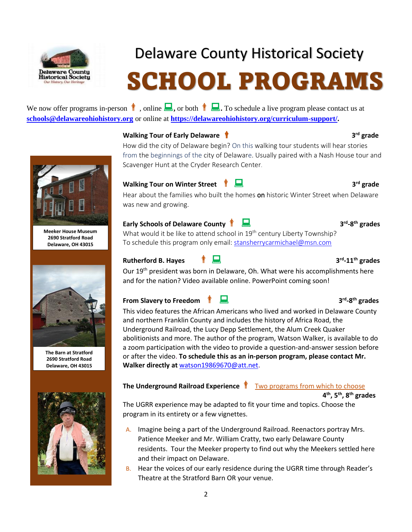

### Delaware County Historical Society

# SCHOOL PROGRAMS

We now offer programs in-person  $\parallel$ , online  $\parallel$ , or both  $\parallel$ . To schedule a live program please contact us at **[schools@delawareohiohistory.org](mailto:schools@delawareohiohistory.org)** or online at **[https://delawareohiohistory.org/curriculum-support/.](https://delawareohiohistory.org/curriculum-support/)**

#### **Walking Tour of Early Delaware <sup>3</sup>**

How did the city of Delaware begin? On this walking tour students will hear stories from the beginnings of the city of Delaware. Usually paired with a Nash House tour and Scavenger Hunt at the Cryder Research Center.

#### **Walking Tour on Winter Street 1 1**

Hear about the families who built the homes on historic Winter Street when Delaware was new and growing.

#### **Early Schools of Delaware County <sup>3</sup>**

What would it be like to attend school in 19<sup>th</sup> century Liberty Township? To schedule this program only email: [stansherrycarmichael@msn.com](mailto:stansherrycarmichael@msn.com)

#### **Rutherford B. Hayes**

Our 19<sup>th</sup> president was born in Delaware, Oh. What were his accomplishments here and for the nation? Video available online. PowerPoint coming soon!

#### **From Slavery to Freedom <sup>3</sup>**

This video features the African Americans who lived and worked in Delaware County and northern Franklin County and includes the history of Africa Road, the Underground Railroad, the Lucy Depp Settlement, the Alum Creek Quaker abolitionists and more. The author of the program, Watson Walker, is available to do a zoom participation with the video to provide a question-and-answer session before or after the video. **To schedule this as an in-person program, please contact Mr. Walker directly at** [watson19869670@att.net.](mailto:watson19869670@att.net)

#### **The Underground Railroad Experience T** Two programs from which to choose

**4 th , 5 th, 8th grades**

The UGRR experience may be adapted to fit your time and topics. Choose the program in its entirety or a few vignettes.

- A. Imagine being a part of the Underground Railroad. Reenactors portray Mrs. Patience Meeker and Mr. William Cratty, two early Delaware County residents. Tour the Meeker property to find out why the Meekers settled here and their impact on Delaware.
- B. Hear the voices of our early residence during the UGRR time through Reader's Theatre at the Stratford Barn OR your venue.



**Meeker House Museum 2690 Stratford Road Delaware, OH 43015**



**The Barn at Stratford 2690 Stratford Road Delaware, OH 43015**



### **rd grade**

**rd grade** 

**rd -8 th grades**

#### **rd -11th grades**

#### **rd -8 th grades**